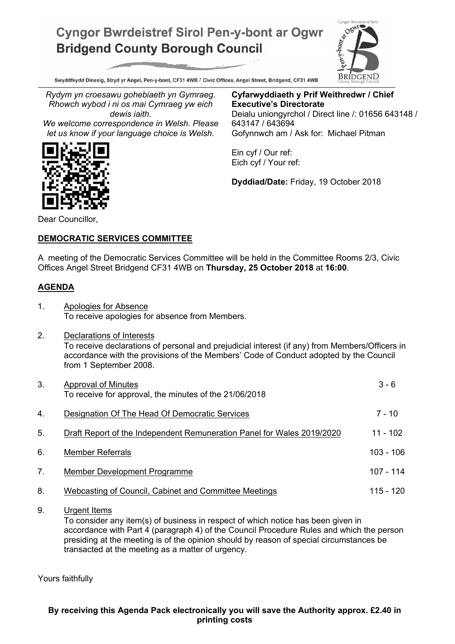## **Cyngor Bwrdeistref Sirol Pen-y-bont ar Ogwr Bridgend County Borough Council**



Swyddfeydd Dinesig, Stryd yr Angel, Pen-y-bont, CF31 4WB / Civic Offices, Angel Street, Bridgend, CF31 4WB

*Rydym yn croesawu gohebiaeth yn Gymraeg. Rhowch wybod i ni os mai Cymraeg yw eich dewis iaith.*

*We welcome correspondence in Welsh. Please let us know if your language choice is Welsh.*

**Cyfarwyddiaeth y Prif Weithredwr / Chief Executive's Directorate** Deialu uniongyrchol / Direct line /: 01656 643148 / 643147 / 643694 Gofynnwch am / Ask for: Michael Pitman

Ein cyf / Our ref: Eich cyf / Your ref:

**Dyddiad/Date:** Friday, 19 October 2018

Dear Councillor,

## **DEMOCRATIC SERVICES COMMITTEE**

A meeting of the Democratic Services Committee will be held in the Committee Rooms 2/3, Civic Offices Angel Street Bridgend CF31 4WB on **Thursday, 25 October 2018** at **16:00**.

## **AGENDA**

- 1. Apologies for Absence To receive apologies for absence from Members.
- 2. Declarations of Interests To receive declarations of personal and prejudicial interest (if any) from Members/Officers in accordance with the provisions of the Members' Code of Conduct adopted by the Council from 1 September 2008.

| 3. | Approval of Minutes<br>To receive for approval, the minutes of the 21/06/2018 | $3 - 6$     |
|----|-------------------------------------------------------------------------------|-------------|
| 4. | Designation Of The Head Of Democratic Services                                | $7 - 10$    |
| 5. | Draft Report of the Independent Remuneration Panel for Wales 2019/2020        | 11 - 102    |
| 6. | <b>Member Referrals</b>                                                       | $103 - 106$ |
| 7. | Member Development Programme                                                  | $107 - 114$ |
| 8. | Webcasting of Council, Cabinet and Committee Meetings                         | $115 - 120$ |

9. Urgent Items

To consider any item(s) of business in respect of which notice has been given in accordance with Part 4 (paragraph 4) of the Council Procedure Rules and which the person presiding at the meeting is of the opinion should by reason of special circumstances be transacted at the meeting as a matter of urgency.

Yours faithfully